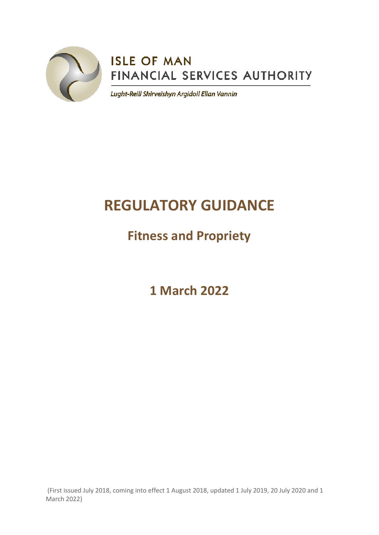

# **ISLE OF MAN** FINANCIAL SERVICES AUTHORITY

Lught-Reill Shirveishyn Argidoil Ellan Vannin

# **REGULATORY GUIDANCE**

# **Fitness and Propriety**

**1 March 2022**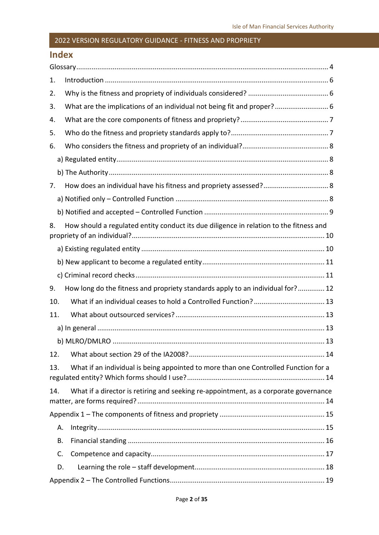### **Index**

| 1.  |                                                                                        |
|-----|----------------------------------------------------------------------------------------|
| 2.  |                                                                                        |
| 3.  | What are the implications of an individual not being fit and proper? 6                 |
| 4.  |                                                                                        |
| 5.  |                                                                                        |
| 6.  |                                                                                        |
|     |                                                                                        |
|     |                                                                                        |
| 7.  |                                                                                        |
|     |                                                                                        |
|     |                                                                                        |
| 8.  | How should a regulated entity conduct its due diligence in relation to the fitness and |
|     |                                                                                        |
|     |                                                                                        |
|     |                                                                                        |
| 9.  | How long do the fitness and propriety standards apply to an individual for? 12         |
| 10. |                                                                                        |
| 11. |                                                                                        |
|     |                                                                                        |
|     |                                                                                        |
| 12. |                                                                                        |
| 13. | What if an individual is being appointed to more than one Controlled Function for a    |
| 14. | What if a director is retiring and seeking re-appointment, as a corporate governance   |
|     |                                                                                        |
| Α.  |                                                                                        |
| В.  |                                                                                        |
| C.  |                                                                                        |
| D.  |                                                                                        |
|     |                                                                                        |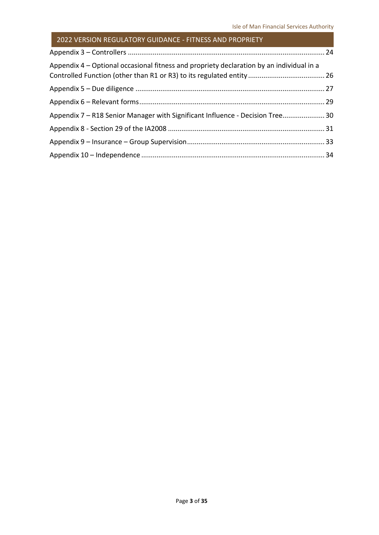| Appendix 4 – Optional occasional fitness and propriety declaration by an individual in a |  |
|------------------------------------------------------------------------------------------|--|
|                                                                                          |  |
|                                                                                          |  |
| Appendix 7 – R18 Senior Manager with Significant Influence - Decision Tree 30            |  |
|                                                                                          |  |
|                                                                                          |  |
|                                                                                          |  |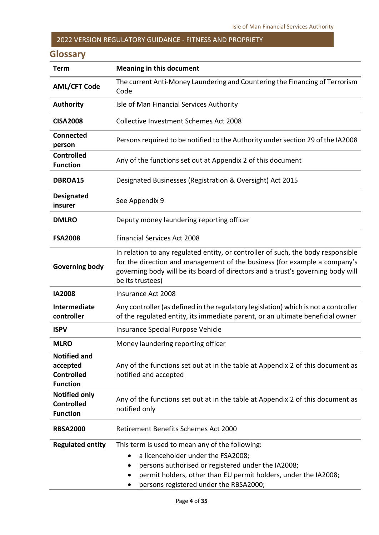## <span id="page-3-0"></span>**Glossary**

| <b>Term</b>                                                             | <b>Meaning in this document</b>                                                                                                                                                                                                                                       |  |  |  |
|-------------------------------------------------------------------------|-----------------------------------------------------------------------------------------------------------------------------------------------------------------------------------------------------------------------------------------------------------------------|--|--|--|
| <b>AML/CFT Code</b>                                                     | The current Anti-Money Laundering and Countering the Financing of Terrorism<br>Code                                                                                                                                                                                   |  |  |  |
| <b>Authority</b>                                                        | Isle of Man Financial Services Authority                                                                                                                                                                                                                              |  |  |  |
| <b>CISA2008</b>                                                         | <b>Collective Investment Schemes Act 2008</b>                                                                                                                                                                                                                         |  |  |  |
| <b>Connected</b><br>person                                              | Persons required to be notified to the Authority under section 29 of the IA2008                                                                                                                                                                                       |  |  |  |
| <b>Controlled</b><br><b>Function</b>                                    | Any of the functions set out at Appendix 2 of this document                                                                                                                                                                                                           |  |  |  |
| DBROA15                                                                 | Designated Businesses (Registration & Oversight) Act 2015                                                                                                                                                                                                             |  |  |  |
| <b>Designated</b><br>insurer                                            | See Appendix 9                                                                                                                                                                                                                                                        |  |  |  |
| <b>DMLRO</b>                                                            | Deputy money laundering reporting officer                                                                                                                                                                                                                             |  |  |  |
| <b>FSA2008</b>                                                          | <b>Financial Services Act 2008</b>                                                                                                                                                                                                                                    |  |  |  |
| <b>Governing body</b>                                                   | In relation to any regulated entity, or controller of such, the body responsible<br>for the direction and management of the business (for example a company's<br>governing body will be its board of directors and a trust's governing body will<br>be its trustees)  |  |  |  |
| <b>IA2008</b>                                                           | Insurance Act 2008                                                                                                                                                                                                                                                    |  |  |  |
| Intermediate<br>controller                                              | Any controller (as defined in the regulatory legislation) which is not a controller<br>of the regulated entity, its immediate parent, or an ultimate beneficial owner                                                                                                 |  |  |  |
| <b>ISPV</b>                                                             | Insurance Special Purpose Vehicle                                                                                                                                                                                                                                     |  |  |  |
| <b>MLRO</b>                                                             | Money laundering reporting officer                                                                                                                                                                                                                                    |  |  |  |
| <b>Notified and</b><br>accepted<br><b>Controlled</b><br><b>Function</b> | Any of the functions set out at in the table at Appendix 2 of this document as<br>notified and accepted                                                                                                                                                               |  |  |  |
| <b>Notified only</b><br><b>Controlled</b><br><b>Function</b>            | Any of the functions set out at in the table at Appendix 2 of this document as<br>notified only                                                                                                                                                                       |  |  |  |
| <b>RBSA2000</b>                                                         | Retirement Benefits Schemes Act 2000                                                                                                                                                                                                                                  |  |  |  |
| <b>Regulated entity</b>                                                 | This term is used to mean any of the following:<br>a licenceholder under the FSA2008;<br>$\bullet$<br>persons authorised or registered under the IA2008;<br>permit holders, other than EU permit holders, under the IA2008;<br>persons registered under the RBSA2000; |  |  |  |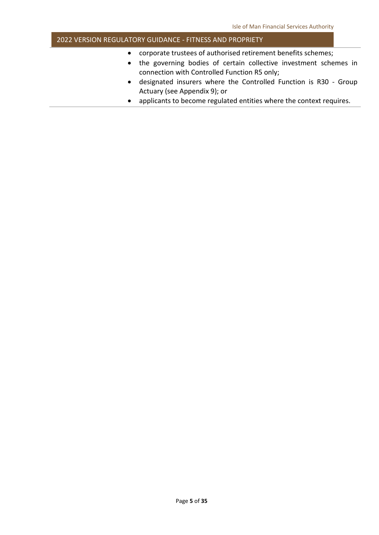- corporate trustees of authorised retirement benefits schemes;
- the governing bodies of certain collective investment schemes in connection with Controlled Function R5 only;
- designated insurers where the Controlled Function is R30 Group Actuary (see Appendix 9); or
- applicants to become regulated entities where the context requires.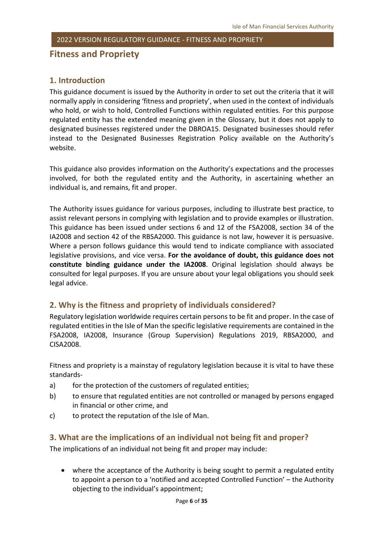**Fitness and Propriety**

#### <span id="page-5-0"></span>**1. Introduction**

This guidance document is issued by the Authority in order to set out the criteria that it will normally apply in considering 'fitness and propriety', when used in the context of individuals who hold, or wish to hold, Controlled Functions within regulated entities. For this purpose regulated entity has the extended meaning given in the Glossary, but it does not apply to designated businesses registered under the DBROA15. Designated businesses should refer instead to the Designated Businesses Registration Policy available on the Authority's website.

This guidance also provides information on the Authority's expectations and the processes involved, for both the regulated entity and the Authority, in ascertaining whether an individual is, and remains, fit and proper.

The Authority issues guidance for various purposes, including to illustrate best practice, to assist relevant persons in complying with legislation and to provide examples or illustration. This guidance has been issued under sections 6 and 12 of the FSA2008, section 34 of the IA2008 and section 42 of the RBSA2000. This guidance is not law, however it is persuasive. Where a person follows guidance this would tend to indicate compliance with associated legislative provisions, and vice versa. **For the avoidance of doubt, this guidance does not constitute binding guidance under the IA2008**. Original legislation should always be consulted for legal purposes. If you are unsure about your legal obligations you should seek legal advice.

#### <span id="page-5-1"></span>**2. Why is the fitness and propriety of individuals considered?**

Regulatory legislation worldwide requires certain persons to be fit and proper. In the case of regulated entities in the Isle of Man the specific legislative requirements are contained in the FSA2008, IA2008, Insurance (Group Supervision) Regulations 2019, RBSA2000, and CISA2008.

Fitness and propriety is a mainstay of regulatory legislation because it is vital to have these standards-

- a) for the protection of the customers of regulated entities;
- b) to ensure that regulated entities are not controlled or managed by persons engaged in financial or other crime, and
- <span id="page-5-2"></span>c) to protect the reputation of the Isle of Man.

#### **3. What are the implications of an individual not being fit and proper?**

The implications of an individual not being fit and proper may include:

• where the acceptance of the Authority is being sought to permit a regulated entity to appoint a person to a 'notified and accepted Controlled Function' – the Authority objecting to the individual's appointment;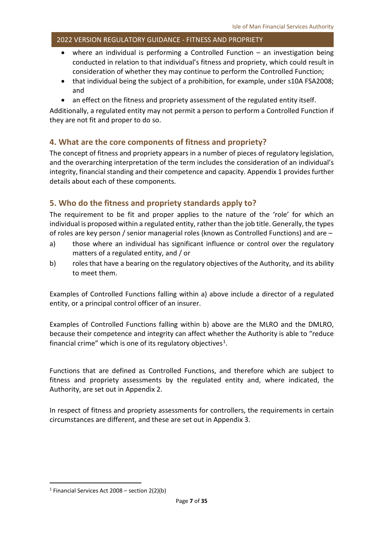- where an individual is performing a Controlled Function an investigation being conducted in relation to that individual's fitness and propriety, which could result in consideration of whether they may continue to perform the Controlled Function;
- that individual being the subject of a prohibition, for example, under s10A FSA2008; and
- an effect on the fitness and propriety assessment of the regulated entity itself.

Additionally, a regulated entity may not permit a person to perform a Controlled Function if they are not fit and proper to do so.

#### <span id="page-6-0"></span>**4. What are the core components of fitness and propriety?**

The concept of fitness and propriety appears in a number of pieces of regulatory legislation, and the overarching interpretation of the term includes the consideration of an individual's integrity, financial standing and their competence and capacity. Appendix 1 provides further details about each of these components.

#### <span id="page-6-1"></span>**5. Who do the fitness and propriety standards apply to?**

The requirement to be fit and proper applies to the nature of the 'role' for which an individual is proposed within a regulated entity, rather than the job title. Generally, the types of roles are key person / senior managerial roles (known as Controlled Functions) and are –

- a) those where an individual has significant influence or control over the regulatory matters of a regulated entity, and / or
- b) roles that have a bearing on the regulatory objectives of the Authority, and its ability to meet them.

Examples of Controlled Functions falling within a) above include a director of a regulated entity, or a principal control officer of an insurer.

Examples of Controlled Functions falling within b) above are the MLRO and the DMLRO, because their competence and integrity can affect whether the Authority is able to "reduce financial crime" which is one of its regulatory objectives $1$ .

Functions that are defined as Controlled Functions, and therefore which are subject to fitness and propriety assessments by the regulated entity and, where indicated, the Authority, are set out in Appendix 2.

In respect of fitness and propriety assessments for controllers, the requirements in certain circumstances are different, and these are set out in Appendix 3.

<span id="page-6-2"></span><sup>&</sup>lt;sup>1</sup> Financial Services Act 2008 – section  $2(2)(b)$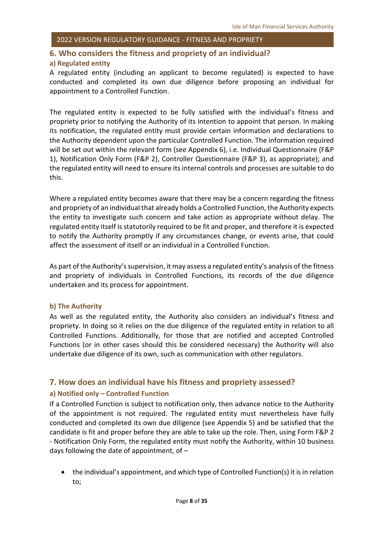#### <span id="page-7-0"></span>**6. Who considers the fitness and propriety of an individual?**

#### <span id="page-7-1"></span>**a) Regulated entity**

A regulated entity (including an applicant to become regulated) is expected to have conducted and completed its own due diligence before proposing an individual for appointment to a Controlled Function.

The regulated entity is expected to be fully satisfied with the individual's fitness and propriety prior to notifying the Authority of its intention to appoint that person. In making its notification, the regulated entity must provide certain information and declarations to the Authority dependent upon the particular Controlled Function. The information required will be set out within the relevant form (see Appendix 6), i.e. Individual Questionnaire (F&P 1), Notification Only Form (F&P 2), Controller Questionnaire (F&P 3), as appropriate); and the regulated entity will need to ensure its internal controls and processes are suitable to do this.

Where a regulated entity becomes aware that there may be a concern regarding the fitness and propriety of an individual that already holds a Controlled Function, the Authority expects the entity to investigate such concern and take action as appropriate without delay. The regulated entity itself is statutorily required to be fit and proper, and therefore it is expected to notify the Authority promptly if any circumstances change, or events arise, that could affect the assessment of itself or an individual in a Controlled Function.

As part of the Authority's supervision, it may assess a regulated entity's analysis of the fitness and propriety of individuals in Controlled Functions, its records of the due diligence undertaken and its process for appointment.

#### <span id="page-7-2"></span>**b) The Authority**

As well as the regulated entity, the Authority also considers an individual's fitness and propriety. In doing so it relies on the due diligence of the regulated entity in relation to all Controlled Functions. Additionally, for those that are notified and accepted Controlled Functions (or in other cases should this be considered necessary) the Authority will also undertake due diligence of its own, such as communication with other regulators.

#### <span id="page-7-3"></span>**7. How does an individual have his fitness and propriety assessed?**

#### <span id="page-7-4"></span>**a) Notified only – Controlled Function**

If a Controlled Function is subject to notification only, then advance notice to the Authority of the appointment is not required. The regulated entity must nevertheless have fully conducted and completed its own due diligence (see Appendix 5) and be satisfied that the candidate is fit and proper before they are able to take up the role. Then, using Form F&P 2 - Notification Only Form, the regulated entity must notify the Authority, within 10 business days following the date of appointment, of –

• the individual's appointment, and which type of Controlled Function(s) it is in relation to;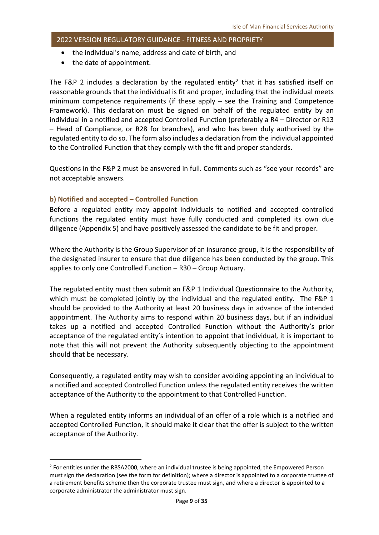- the individual's name, address and date of birth, and
- the date of appointment.

The F&P [2](#page-8-1) includes a declaration by the regulated entity<sup>2</sup> that it has satisfied itself on reasonable grounds that the individual is fit and proper, including that the individual meets minimum competence requirements (if these apply – see the Training and Competence Framework). This declaration must be signed on behalf of the regulated entity by an individual in a notified and accepted Controlled Function (preferably a R4 – Director or R13 – Head of Compliance, or R28 for branches), and who has been duly authorised by the regulated entity to do so. The form also includes a declaration from the individual appointed to the Controlled Function that they comply with the fit and proper standards.

Questions in the F&P 2 must be answered in full. Comments such as "see your records" are not acceptable answers.

#### <span id="page-8-0"></span>**b) Notified and accepted – Controlled Function**

Before a regulated entity may appoint individuals to notified and accepted controlled functions the regulated entity must have fully conducted and completed its own due diligence (Appendix 5) and have positively assessed the candidate to be fit and proper.

Where the Authority is the Group Supervisor of an insurance group, it is the responsibility of the designated insurer to ensure that due diligence has been conducted by the group. This applies to only one Controlled Function – R30 – Group Actuary.

The regulated entity must then submit an F&P 1 Individual Questionnaire to the Authority, which must be completed jointly by the individual and the regulated entity. The F&P 1 should be provided to the Authority at least 20 business days in advance of the intended appointment. The Authority aims to respond within 20 business days, but if an individual takes up a notified and accepted Controlled Function without the Authority's prior acceptance of the regulated entity's intention to appoint that individual, it is important to note that this will not prevent the Authority subsequently objecting to the appointment should that be necessary.

Consequently, a regulated entity may wish to consider avoiding appointing an individual to a notified and accepted Controlled Function unless the regulated entity receives the written acceptance of the Authority to the appointment to that Controlled Function.

When a regulated entity informs an individual of an offer of a role which is a notified and accepted Controlled Function, it should make it clear that the offer is subject to the written acceptance of the Authority.

<span id="page-8-1"></span><sup>&</sup>lt;sup>2</sup> For entities under the RBSA2000, where an individual trustee is being appointed, the Empowered Person must sign the declaration (see the form for definition); where a director is appointed to a corporate trustee of a retirement benefits scheme then the corporate trustee must sign, and where a director is appointed to a corporate administrator the administrator must sign.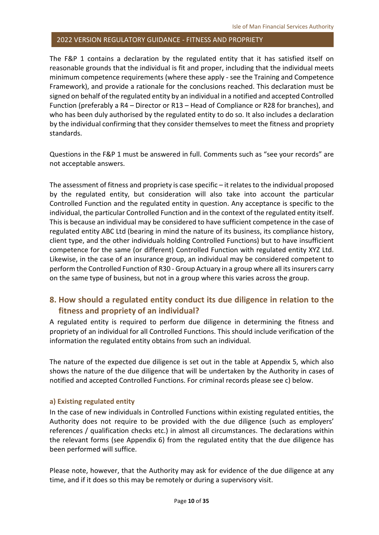The F&P 1 contains a declaration by the regulated entity that it has satisfied itself on reasonable grounds that the individual is fit and proper, including that the individual meets minimum competence requirements (where these apply - see the Training and Competence Framework), and provide a rationale for the conclusions reached. This declaration must be signed on behalf of the regulated entity by an individual in a notified and accepted Controlled Function (preferably a R4 – Director or R13 – Head of Compliance or R28 for branches), and who has been duly authorised by the regulated entity to do so. It also includes a declaration by the individual confirming that they consider themselves to meet the fitness and propriety standards.

Questions in the F&P 1 must be answered in full. Comments such as "see your records" are not acceptable answers.

The assessment of fitness and propriety is case specific – it relates to the individual proposed by the regulated entity, but consideration will also take into account the particular Controlled Function and the regulated entity in question. Any acceptance is specific to the individual, the particular Controlled Function and in the context of the regulated entity itself. This is because an individual may be considered to have sufficient competence in the case of regulated entity ABC Ltd (bearing in mind the nature of its business, its compliance history, client type, and the other individuals holding Controlled Functions) but to have insufficient competence for the same (or different) Controlled Function with regulated entity XYZ Ltd. Likewise, in the case of an insurance group, an individual may be considered competent to perform the Controlled Function of R30 - Group Actuary in a group where all its insurers carry on the same type of business, but not in a group where this varies across the group.

#### <span id="page-9-0"></span>**8. How should a regulated entity conduct its due diligence in relation to the fitness and propriety of an individual?**

A regulated entity is required to perform due diligence in determining the fitness and propriety of an individual for all Controlled Functions. This should include verification of the information the regulated entity obtains from such an individual.

The nature of the expected due diligence is set out in the table at Appendix 5, which also shows the nature of the due diligence that will be undertaken by the Authority in cases of notified and accepted Controlled Functions. For criminal records please see c) below.

#### <span id="page-9-1"></span>**a) Existing regulated entity**

In the case of new individuals in Controlled Functions within existing regulated entities, the Authority does not require to be provided with the due diligence (such as employers' references / qualification checks etc.) in almost all circumstances. The declarations within the relevant forms (see Appendix 6) from the regulated entity that the due diligence has been performed will suffice.

Please note, however, that the Authority may ask for evidence of the due diligence at any time, and if it does so this may be remotely or during a supervisory visit.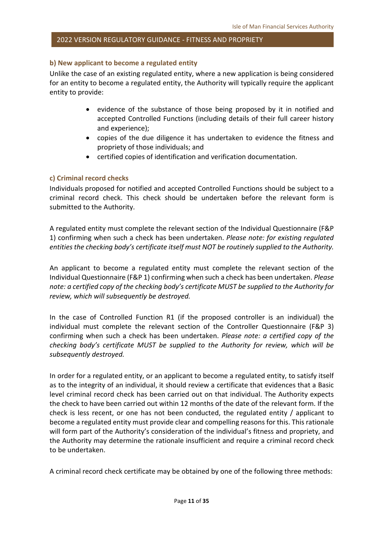#### <span id="page-10-0"></span>**b) New applicant to become a regulated entity**

Unlike the case of an existing regulated entity, where a new application is being considered for an entity to become a regulated entity, the Authority will typically require the applicant entity to provide:

- evidence of the substance of those being proposed by it in notified and accepted Controlled Functions (including details of their full career history and experience);
- copies of the due diligence it has undertaken to evidence the fitness and propriety of those individuals; and
- certified copies of identification and verification documentation.

#### <span id="page-10-1"></span>**c) Criminal record checks**

Individuals proposed for notified and accepted Controlled Functions should be subject to a criminal record check. This check should be undertaken before the relevant form is submitted to the Authority.

A regulated entity must complete the relevant section of the Individual Questionnaire (F&P 1) confirming when such a check has been undertaken. *Please note: for existing regulated entities the checking body's certificate itself must NOT be routinely supplied to the Authority.*

An applicant to become a regulated entity must complete the relevant section of the Individual Questionnaire (F&P 1) confirming when such a check has been undertaken. *Please note: a certified copy of the checking body's certificate MUST be supplied to the Authority for review, which will subsequently be destroyed.*

In the case of Controlled Function R1 (if the proposed controller is an individual) the individual must complete the relevant section of the Controller Questionnaire (F&P 3) confirming when such a check has been undertaken. *Please note: a certified copy of the checking body's certificate MUST be supplied to the Authority for review, which will be subsequently destroyed.*

In order for a regulated entity, or an applicant to become a regulated entity, to satisfy itself as to the integrity of an individual, it should review a certificate that evidences that a Basic level criminal record check has been carried out on that individual. The Authority expects the check to have been carried out within 12 months of the date of the relevant form. If the check is less recent, or one has not been conducted, the regulated entity / applicant to become a regulated entity must provide clear and compelling reasons for this. This rationale will form part of the Authority's consideration of the individual's fitness and propriety, and the Authority may determine the rationale insufficient and require a criminal record check to be undertaken.

A criminal record check certificate may be obtained by one of the following three methods: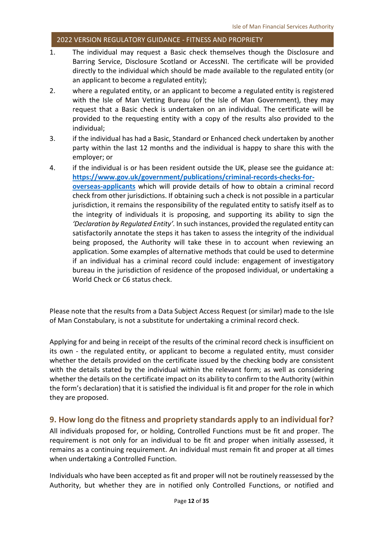- 1. The individual may request a Basic check themselves though the Disclosure and Barring Service, [Disclosure Scotland](https://www.mygov.scot/disclosure-types/?via=https://www.disclosurescotland.co.uk/) or [AccessNI.](https://www.nidirect.gov.uk/campaigns/accessni-criminal-record-checks) The certificate will be provided directly to the individual which should be made available to the regulated entity (or an applicant to become a regulated entity);
- 2. where a regulated entity, or an applicant to become a regulated entity is registered with the [Isle of Man Vetting Bureau \(of the Isle of Man Government\),](https://www.gov.im/categories/working-in-the-isle-of-man/vetting-and-safer-recruitment/isle-of-man-vetting-bureau/) they may request that a Basic check is undertaken on an individual. The certificate will be provided to the requesting entity with a copy of the results also provided to the individual;
- 3. if the individual has had a Basic, Standard or Enhanced check undertaken by another party within the last 12 months and the individual is happy to share this with the employer; or
- 4. if the individual is or has been resident outside the UK, please see the guidance at: **[https://www.gov.uk/government/publications/criminal-records-checks-for](https://www.gov.uk/government/publications/criminal-records-checks-for-overseas-applicants)[overseas-applicants](https://www.gov.uk/government/publications/criminal-records-checks-for-overseas-applicants)** which will provide details of how to obtain a criminal record check from other jurisdictions. If obtaining such a check is not possible in a particular jurisdiction, it remains the responsibility of the regulated entity to satisfy itself as to the integrity of individuals it is proposing, and supporting its ability to sign the *'Declaration by Regulated Entity'.* In such instances, provided the regulated entity can satisfactorily annotate the steps it has taken to assess the integrity of the individual being proposed, the Authority will take these in to account when reviewing an application. Some examples of alternative methods that could be used to determine if an individual has a criminal record could include: engagement of investigatory bureau in the jurisdiction of residence of the proposed individual, or undertaking a World Check or C6 status check.

Please note that the results from a Data Subject Access Request (or similar) made to the Isle of Man Constabulary, is not a substitute for undertaking a criminal record check.

Applying for and being in receipt of the results of the criminal record check is insufficient on its own - the regulated entity, or applicant to become a regulated entity, must consider whether the details provided on the certificate issued by the checking body are consistent with the details stated by the individual within the relevant form; as well as considering whether the details on the certificate impact on its ability to confirm to the Authority (within the form's declaration) that it is satisfied the individual is fit and proper for the role in which they are proposed.

#### <span id="page-11-0"></span>**9. How long do the fitness and propriety standards apply to an individual for?**

All individuals proposed for, or holding, Controlled Functions must be fit and proper. The requirement is not only for an individual to be fit and proper when initially assessed, it remains as a continuing requirement. An individual must remain fit and proper at all times when undertaking a Controlled Function.

Individuals who have been accepted as fit and proper will not be routinely reassessed by the Authority, but whether they are in notified only Controlled Functions, or notified and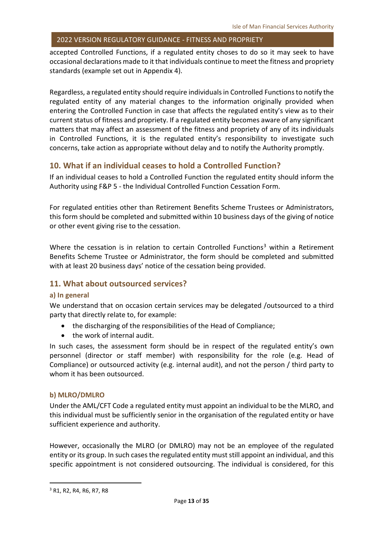accepted Controlled Functions, if a regulated entity choses to do so it may seek to have occasional declarations made to it that individuals continue to meet the fitness and propriety standards (example set out in Appendix 4).

Regardless, a regulated entity should require individuals in Controlled Functions to notify the regulated entity of any material changes to the information originally provided when entering the Controlled Function in case that affects the regulated entity's view as to their current status of fitness and propriety. If a regulated entity becomes aware of any significant matters that may affect an assessment of the fitness and propriety of any of its individuals in Controlled Functions, it is the regulated entity's responsibility to investigate such concerns, take action as appropriate without delay and to notify the Authority promptly.

#### <span id="page-12-0"></span>**10. What if an individual ceases to hold a Controlled Function?**

If an individual ceases to hold a Controlled Function the regulated entity should inform the Authority using F&P 5 - the Individual Controlled Function Cessation Form.

For regulated entities other than Retirement Benefits Scheme Trustees or Administrators, this form should be completed and submitted within 10 business days of the giving of notice or other event giving rise to the cessation.

Where the cessation is in relation to certain Controlled Functions<sup>[3](#page-12-4)</sup> within a Retirement Benefits Scheme Trustee or Administrator, the form should be completed and submitted with at least 20 business days' notice of the cessation being provided.

#### <span id="page-12-1"></span>**11. What about outsourced services?**

#### <span id="page-12-2"></span>**a) In general**

We understand that on occasion certain services may be delegated /outsourced to a third party that directly relate to, for example:

- the discharging of the responsibilities of the Head of Compliance;
- the work of internal audit.

In such cases, the assessment form should be in respect of the regulated entity's own personnel (director or staff member) with responsibility for the role (e.g. Head of Compliance) or outsourced activity (e.g. internal audit), and not the person / third party to whom it has been outsourced.

#### <span id="page-12-3"></span>**b) MLRO/DMLRO**

Under the AML/CFT Code a regulated entity must appoint an individual to be the MLRO, and this individual must be sufficiently senior in the organisation of the regulated entity or have sufficient experience and authority.

However, occasionally the MLRO (or DMLRO) may not be an employee of the regulated entity or its group. In such cases the regulated entity must still appoint an individual, and this specific appointment is not considered outsourcing. The individual is considered, for this

<span id="page-12-4"></span><sup>&</sup>lt;sup>3</sup> R<sub>1</sub>, R<sub>2</sub>, R<sub>4</sub>, R<sub>6</sub>, R<sub>7</sub>, R<sub>8</sub>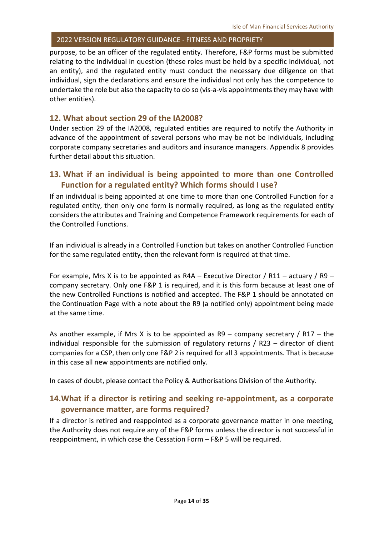purpose, to be an officer of the regulated entity. Therefore, F&P forms must be submitted relating to the individual in question (these roles must be held by a specific individual, not an entity), and the regulated entity must conduct the necessary due diligence on that individual, sign the declarations and ensure the individual not only has the competence to undertake the role but also the capacity to do so (vis-a-vis appointments they may have with other entities).

#### <span id="page-13-0"></span>**12. What about section 29 of the IA2008?**

Under section 29 of the IA2008, regulated entities are required to notify the Authority in advance of the appointment of several persons who may be not be individuals, including corporate company secretaries and auditors and insurance managers. Appendix 8 provides further detail about this situation.

#### <span id="page-13-1"></span>**13. What if an individual is being appointed to more than one Controlled Function for a regulated entity? Which forms should I use?**

If an individual is being appointed at one time to more than one Controlled Function for a regulated entity, then only one form is normally required, as long as the regulated entity considers the attributes and Training and Competence Framework requirements for each of the Controlled Functions.

If an individual is already in a Controlled Function but takes on another Controlled Function for the same regulated entity, then the relevant form is required at that time.

For example, Mrs X is to be appointed as  $RAA - Executive$  Director / R11 – actuary / R9 – company secretary. Only one F&P 1 is required, and it is this form because at least one of the new Controlled Functions is notified and accepted. The F&P 1 should be annotated on the Continuation Page with a note about the R9 (a notified only) appointment being made at the same time.

As another example, if Mrs X is to be appointed as R9 – company secretary / R17 – the individual responsible for the submission of regulatory returns / R23 – director of client companies for a CSP, then only one F&P 2 is required for all 3 appointments. That is because in this case all new appointments are notified only.

<span id="page-13-2"></span>In cases of doubt, please contact the Policy & Authorisations Division of the Authority.

#### **14.What if a director is retiring and seeking re-appointment, as a corporate governance matter, are forms required?**

If a director is retired and reappointed as a corporate governance matter in one meeting, the Authority does not require any of the F&P forms unless the director is not successful in reappointment, in which case the Cessation Form – F&P 5 will be required.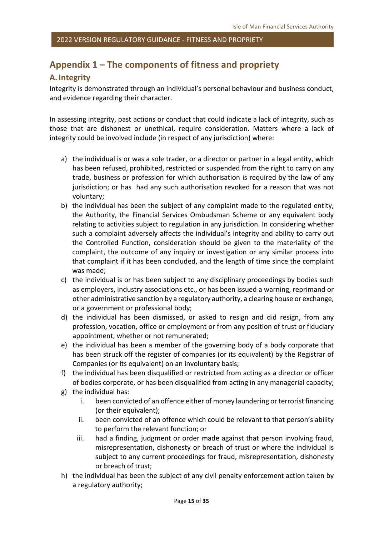### <span id="page-14-0"></span>**Appendix 1 – The components of fitness and propriety**

#### <span id="page-14-1"></span>**A. Integrity**

Integrity is demonstrated through an individual's personal behaviour and business conduct, and evidence regarding their character.

In assessing integrity, past actions or conduct that could indicate a lack of integrity, such as those that are dishonest or unethical, require consideration. Matters where a lack of integrity could be involved include (in respect of any jurisdiction) where:

- a) the individual is or was a sole trader, or a director or partner in a legal entity, which has been refused, prohibited, restricted or suspended from the right to carry on any trade, business or profession for which authorisation is required by the law of any jurisdiction; or has had any such authorisation revoked for a reason that was not voluntary;
- b) the individual has been the subject of any complaint made to the regulated entity, the Authority, the Financial Services Ombudsman Scheme or any equivalent body relating to activities subject to regulation in any jurisdiction. In considering whether such a complaint adversely affects the individual's integrity and ability to carry out the Controlled Function, consideration should be given to the materiality of the complaint, the outcome of any inquiry or investigation or any similar process into that complaint if it has been concluded, and the length of time since the complaint was made;
- c) the individual is or has been subject to any disciplinary proceedings by bodies such as employers, industry associations etc., or has been issued a warning, reprimand or other administrative sanction by a regulatory authority, a clearing house or exchange, or a government or professional body;
- d) the individual has been dismissed, or asked to resign and did resign, from any profession, vocation, office or employment or from any position of trust or fiduciary appointment, whether or not remunerated;
- e) the individual has been a member of the governing body of a body corporate that has been struck off the register of companies (or its equivalent) by the Registrar of Companies (or its equivalent) on an involuntary basis;
- f) the individual has been disqualified or restricted from acting as a director or officer of bodies corporate, or has been disqualified from acting in any managerial capacity;
- g) the individual has:
	- i. been convicted of an offence either of money laundering or terrorist financing (or their equivalent);
	- ii. been convicted of an offence which could be relevant to that person's ability to perform the relevant function; or
	- iii. had a finding, judgment or order made against that person involving fraud, misrepresentation, dishonesty or breach of trust or where the individual is subject to any current proceedings for fraud, misrepresentation, dishonesty or breach of trust;
- h) the individual has been the subject of any civil penalty enforcement action taken by a regulatory authority;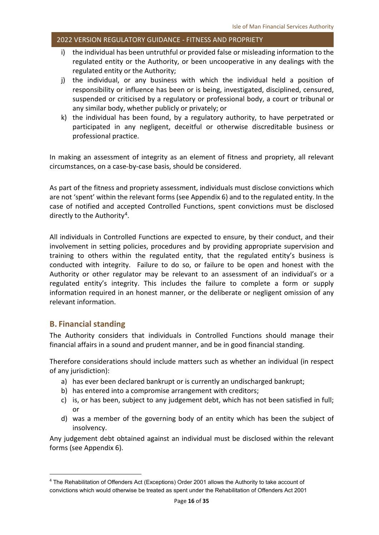- i) the individual has been untruthful or provided false or misleading information to the regulated entity or the Authority, or been uncooperative in any dealings with the regulated entity or the Authority;
- j) the individual, or any business with which the individual held a position of responsibility or influence has been or is being, investigated, disciplined, censured, suspended or criticised by a regulatory or professional body, a court or tribunal or any similar body, whether publicly or privately; or
- k) the individual has been found, by a regulatory authority, to have perpetrated or participated in any negligent, deceitful or otherwise discreditable business or professional practice.

In making an assessment of integrity as an element of fitness and propriety, all relevant circumstances, on a case-by-case basis, should be considered.

As part of the fitness and propriety assessment, individuals must disclose convictions which are not 'spent' within the relevant forms (see Appendix 6) and to the regulated entity. In the case of notified and accepted Controlled Functions, spent convictions must be disclosed directly to the Authority<sup>[4](#page-15-1)</sup>.

All individuals in Controlled Functions are expected to ensure, by their conduct, and their involvement in setting policies, procedures and by providing appropriate supervision and training to others within the regulated entity, that the regulated entity's business is conducted with integrity. Failure to do so, or failure to be open and honest with the Authority or other regulator may be relevant to an assessment of an individual's or a regulated entity's integrity. This includes the failure to complete a form or supply information required in an honest manner, or the deliberate or negligent omission of any relevant information.

#### <span id="page-15-0"></span>**B. Financial standing**

The Authority considers that individuals in Controlled Functions should manage their financial affairs in a sound and prudent manner, and be in good financial standing.

Therefore considerations should include matters such as whether an individual (in respect of any jurisdiction):

- a) has ever been declared bankrupt or is currently an undischarged bankrupt;
- b) has entered into a compromise arrangement with creditors;
- c) is, or has been, subject to any judgement debt, which has not been satisfied in full; or
- d) was a member of the governing body of an entity which has been the subject of insolvency.

Any judgement debt obtained against an individual must be disclosed within the relevant forms (see Appendix 6).

<span id="page-15-1"></span> <sup>4</sup> The Rehabilitation of Offenders Act (Exceptions) Order 2001 allows the Authority to take account of convictions which would otherwise be treated as spent under the Rehabilitation of Offenders Act 2001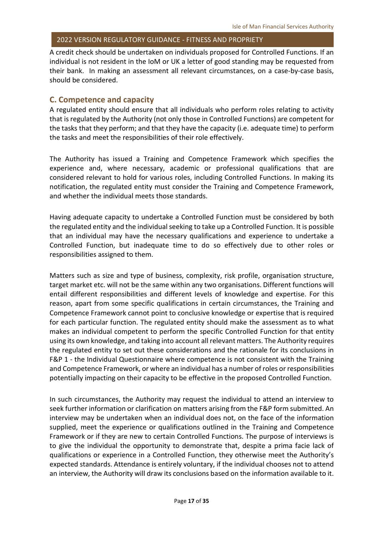A credit check should be undertaken on individuals proposed for Controlled Functions. If an individual is not resident in the IoM or UK a letter of good standing may be requested from their bank. In making an assessment all relevant circumstances, on a case-by-case basis, should be considered.

#### <span id="page-16-0"></span>**C. Competence and capacity**

A regulated entity should ensure that all individuals who perform roles relating to activity that is regulated by the Authority (not only those in Controlled Functions) are competent for the tasks that they perform; and that they have the capacity (i.e. adequate time) to perform the tasks and meet the responsibilities of their role effectively.

The Authority has issued a Training and Competence Framework which specifies the experience and, where necessary, academic or professional qualifications that are considered relevant to hold for various roles, including Controlled Functions. In making its notification, the regulated entity must consider the Training and Competence Framework, and whether the individual meets those standards.

Having adequate capacity to undertake a Controlled Function must be considered by both the regulated entity and the individual seeking to take up a Controlled Function. It is possible that an individual may have the necessary qualifications and experience to undertake a Controlled Function, but inadequate time to do so effectively due to other roles or responsibilities assigned to them.

Matters such as size and type of business, complexity, risk profile, organisation structure, target market etc. will not be the same within any two organisations. Different functions will entail different responsibilities and different levels of knowledge and expertise. For this reason, apart from some specific qualifications in certain circumstances, the Training and Competence Framework cannot point to conclusive knowledge or expertise that is required for each particular function. The regulated entity should make the assessment as to what makes an individual competent to perform the specific Controlled Function for that entity using its own knowledge, and taking into account all relevant matters. The Authority requires the regulated entity to set out these considerations and the rationale for its conclusions in F&P 1 - the Individual Questionnaire where competence is not consistent with the Training and Competence Framework, or where an individual has a number of roles or responsibilities potentially impacting on their capacity to be effective in the proposed Controlled Function.

In such circumstances, the Authority may request the individual to attend an interview to seek further information or clarification on matters arising from the F&P form submitted. An interview may be undertaken when an individual does not, on the face of the information supplied, meet the experience or qualifications outlined in the Training and Competence Framework or if they are new to certain Controlled Functions. The purpose of interviews is to give the individual the opportunity to demonstrate that, despite a prima facie lack of qualifications or experience in a Controlled Function, they otherwise meet the Authority's expected standards. Attendance is entirely voluntary, if the individual chooses not to attend an interview, the Authority will draw its conclusions based on the information available to it.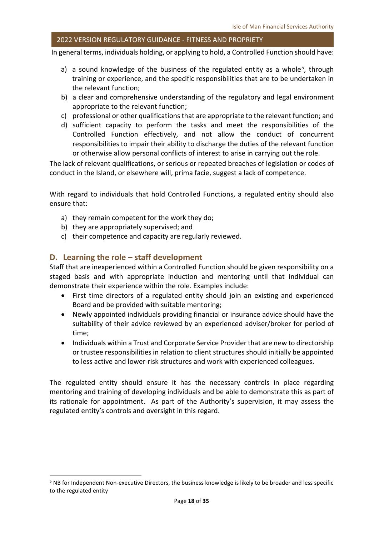In general terms, individuals holding, or applying to hold, a Controlled Function should have:

- a) a sound knowledge of the business of the regulated entity as a whole<sup>5</sup>, through training or experience, and the specific responsibilities that are to be undertaken in the relevant function;
- b) a clear and comprehensive understanding of the regulatory and legal environment appropriate to the relevant function;
- c) professional or other qualifications that are appropriate to the relevant function; and
- d) sufficient capacity to perform the tasks and meet the responsibilities of the Controlled Function effectively, and not allow the conduct of concurrent responsibilities to impair their ability to discharge the duties of the relevant function or otherwise allow personal conflicts of interest to arise in carrying out the role.

The lack of relevant qualifications, or serious or repeated breaches of legislation or codes of conduct in the Island, or elsewhere will, prima facie, suggest a lack of competence.

With regard to individuals that hold Controlled Functions, a regulated entity should also ensure that:

- a) they remain competent for the work they do;
- b) they are appropriately supervised; and
- c) their competence and capacity are regularly reviewed.

#### <span id="page-17-0"></span>**D. Learning the role – staff development**

Staff that are inexperienced within a Controlled Function should be given responsibility on a staged basis and with appropriate induction and mentoring until that individual can demonstrate their experience within the role. Examples include:

- First time directors of a regulated entity should join an existing and experienced Board and be provided with suitable mentoring;
- Newly appointed individuals providing financial or insurance advice should have the suitability of their advice reviewed by an experienced adviser/broker for period of time;
- Individuals within a Trust and Corporate Service Provider that are new to directorship or trustee responsibilities in relation to client structures should initially be appointed to less active and lower-risk structures and work with experienced colleagues.

The regulated entity should ensure it has the necessary controls in place regarding mentoring and training of developing individuals and be able to demonstrate this as part of its rationale for appointment. As part of the Authority's supervision, it may assess the regulated entity's controls and oversight in this regard.

<span id="page-17-1"></span> <sup>5</sup> NB for Independent Non-executive Directors, the business knowledge is likely to be broader and less specific to the regulated entity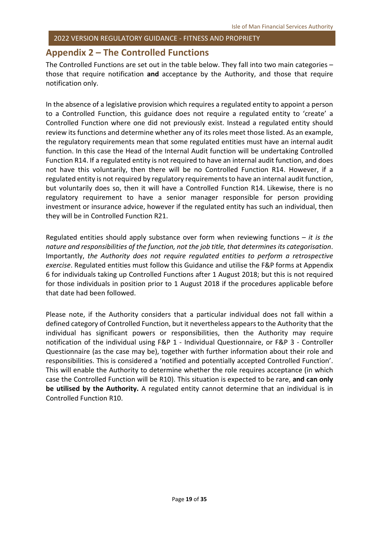#### <span id="page-18-0"></span>**Appendix 2 – The Controlled Functions**

The Controlled Functions are set out in the table below. They fall into two main categories – those that require notification **and** acceptance by the Authority, and those that require notification only.

In the absence of a legislative provision which requires a regulated entity to appoint a person to a Controlled Function, this guidance does not require a regulated entity to 'create' a Controlled Function where one did not previously exist. Instead a regulated entity should review its functions and determine whether any of its roles meet those listed. As an example, the regulatory requirements mean that some regulated entities must have an internal audit function. In this case the Head of the Internal Audit function will be undertaking Controlled Function R14. If a regulated entity is not required to have an internal audit function, and does not have this voluntarily, then there will be no Controlled Function R14. However, if a regulated entity is not required by regulatory requirements to have an internal audit function, but voluntarily does so, then it will have a Controlled Function R14. Likewise, there is no regulatory requirement to have a senior manager responsible for person providing investment or insurance advice, however if the regulated entity has such an individual, then they will be in Controlled Function R21.

Regulated entities should apply substance over form when reviewing functions – *it is the nature and responsibilities of the function, not the job title, that determines its categorisation*. Importantly, *the Authority does not require regulated entities to perform a retrospective exercise*. Regulated entities must follow this Guidance and utilise the F&P forms at Appendix 6 for individuals taking up Controlled Functions after 1 August 2018; but this is not required for those individuals in position prior to 1 August 2018 if the procedures applicable before that date had been followed.

Please note, if the Authority considers that a particular individual does not fall within a defined category of Controlled Function, but it nevertheless appears to the Authority that the individual has significant powers or responsibilities, then the Authority may require notification of the individual using F&P 1 - Individual Questionnaire, or F&P 3 - Controller Questionnaire (as the case may be), together with further information about their role and responsibilities. This is considered a 'notified and potentially accepted Controlled Function'. This will enable the Authority to determine whether the role requires acceptance (in which case the Controlled Function will be R10). This situation is expected to be rare, **and can only be utilised by the Authority.** A regulated entity cannot determine that an individual is in Controlled Function R10.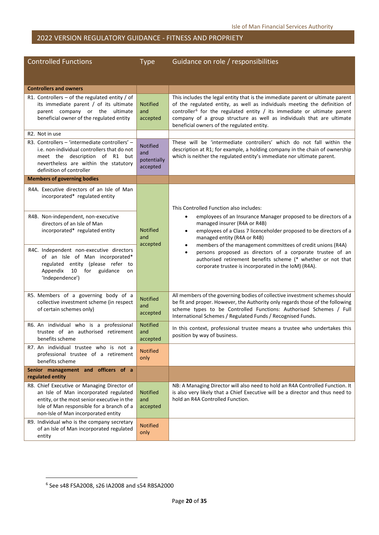| <b>Controlled Functions</b>                                                                                                                                                                                             | <b>Type</b>                                       | Guidance on role / responsibilities                                                                                                                                                                                                                                                                                                                              |
|-------------------------------------------------------------------------------------------------------------------------------------------------------------------------------------------------------------------------|---------------------------------------------------|------------------------------------------------------------------------------------------------------------------------------------------------------------------------------------------------------------------------------------------------------------------------------------------------------------------------------------------------------------------|
|                                                                                                                                                                                                                         |                                                   |                                                                                                                                                                                                                                                                                                                                                                  |
| <b>Controllers and owners</b>                                                                                                                                                                                           |                                                   |                                                                                                                                                                                                                                                                                                                                                                  |
| R1. Controllers $-$ of the regulated entity / of<br>its immediate parent / of its ultimate<br>parent company or the ultimate<br>beneficial owner of the regulated entity                                                | <b>Notified</b><br>and<br>accepted                | This includes the legal entity that is the immediate parent or ultimate parent<br>of the regulated entity, as well as individuals meeting the definition of<br>controller $6$ for the regulated entity / its immediate or ultimate parent<br>company of a group structure as well as individuals that are ultimate<br>beneficial owners of the regulated entity. |
| R2. Not in use                                                                                                                                                                                                          |                                                   |                                                                                                                                                                                                                                                                                                                                                                  |
| R3. Controllers - 'intermediate controllers' -<br>i.e. non-individual controllers that do not<br>meet the description of R1 but<br>nevertheless are within the statutory<br>definition of controller                    | <b>Notified</b><br>and<br>potentially<br>accepted | These will be 'intermediate controllers' which do not fall within the<br>description at R1; for example, a holding company in the chain of ownership<br>which is neither the regulated entity's immediate nor ultimate parent.                                                                                                                                   |
| <b>Members of governing bodies</b>                                                                                                                                                                                      |                                                   |                                                                                                                                                                                                                                                                                                                                                                  |
| R4A. Executive directors of an Isle of Man<br>incorporated* regulated entity<br>R4B. Non-independent, non-executive                                                                                                     |                                                   | This Controlled Function also includes:<br>employees of an Insurance Manager proposed to be directors of a<br>$\bullet$                                                                                                                                                                                                                                          |
| directors of an Isle of Man<br>incorporated* regulated entity                                                                                                                                                           | <b>Notified</b><br>and<br>accepted                | managed insurer (R4A or R4B)<br>employees of a Class 7 licenceholder proposed to be directors of a<br>$\bullet$<br>managed entity (R4A or R4B)<br>members of the management committees of credit unions (R4A)                                                                                                                                                    |
| R4C. Independent non-executive directors<br>of an Isle of Man incorporated*<br>regulated entity (please refer to<br>10 for<br>Appendix<br>guidance<br>on<br>'Independence')                                             |                                                   | persons proposed as directors of a corporate trustee of an<br>$\bullet$<br>authorised retirement benefits scheme (* whether or not that<br>corporate trustee is incorporated in the IoM) (R4A).                                                                                                                                                                  |
| R5. Members of a governing body of a<br>collective investment scheme (in respect<br>of certain schemes only)                                                                                                            | <b>Notified</b><br>and<br>accepted                | All members of the governing bodies of collective investment schemes should<br>be fit and proper. However, the Authority only regards those of the following<br>scheme types to be Controlled Functions: Authorised Schemes / Full<br>International Schemes / Regulated Funds / Recognised Funds.                                                                |
| R6. An individual who is a professional<br>trustee of an authorised retirement<br>benefits scheme                                                                                                                       | <b>Notified</b><br>and<br>accepted                | In this context, professional trustee means a trustee who undertakes this<br>position by way of business.                                                                                                                                                                                                                                                        |
| R7. An individual trustee who is not a<br>professional trustee of a retirement<br>benefits scheme                                                                                                                       | <b>Notified</b><br>only                           |                                                                                                                                                                                                                                                                                                                                                                  |
| Senior management and officers of a<br>regulated entity                                                                                                                                                                 |                                                   |                                                                                                                                                                                                                                                                                                                                                                  |
| R8. Chief Executive or Managing Director of<br>an Isle of Man incorporated regulated<br>entity, or the most senior executive in the<br>Isle of Man responsible for a branch of a<br>non-Isle of Man incorporated entity | <b>Notified</b><br>and<br>accepted                | NB: A Managing Director will also need to hold an R4A Controlled Function. It<br>is also very likely that a Chief Executive will be a director and thus need to<br>hold an R4A Controlled Function.                                                                                                                                                              |
| R9. Individual who is the company secretary<br>of an Isle of Man incorporated regulated<br>entity                                                                                                                       | <b>Notified</b><br>only                           |                                                                                                                                                                                                                                                                                                                                                                  |

<span id="page-19-0"></span> <sup>6</sup> See s48 FSA2008, s26 IA2008 and s54 RBSA2000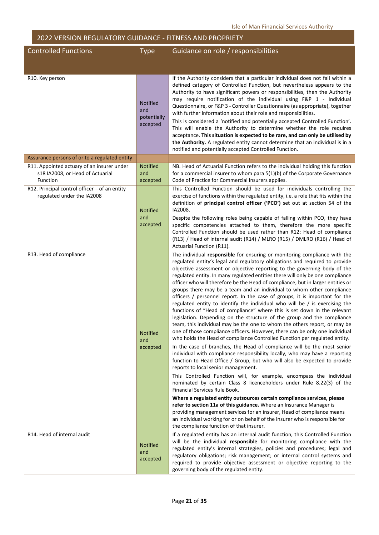| <b>Controlled Functions</b>                                                                | <b>Type</b>                                       | Guidance on role / responsibilities                                                                                                                                                                                                                                                                                                                                                                                                                                                                                                                                                                                                                                                                                                                                                                                                                                                                                                                                                                                                                                                                                                                                                                                                                                                                                                                                                                                                                                                                                                                                                                                                                                                                                                                                                                                                                                        |
|--------------------------------------------------------------------------------------------|---------------------------------------------------|----------------------------------------------------------------------------------------------------------------------------------------------------------------------------------------------------------------------------------------------------------------------------------------------------------------------------------------------------------------------------------------------------------------------------------------------------------------------------------------------------------------------------------------------------------------------------------------------------------------------------------------------------------------------------------------------------------------------------------------------------------------------------------------------------------------------------------------------------------------------------------------------------------------------------------------------------------------------------------------------------------------------------------------------------------------------------------------------------------------------------------------------------------------------------------------------------------------------------------------------------------------------------------------------------------------------------------------------------------------------------------------------------------------------------------------------------------------------------------------------------------------------------------------------------------------------------------------------------------------------------------------------------------------------------------------------------------------------------------------------------------------------------------------------------------------------------------------------------------------------------|
|                                                                                            |                                                   |                                                                                                                                                                                                                                                                                                                                                                                                                                                                                                                                                                                                                                                                                                                                                                                                                                                                                                                                                                                                                                                                                                                                                                                                                                                                                                                                                                                                                                                                                                                                                                                                                                                                                                                                                                                                                                                                            |
| R10. Key person                                                                            | <b>Notified</b><br>and<br>potentially<br>accepted | If the Authority considers that a particular individual does not fall within a<br>defined category of Controlled Function, but nevertheless appears to the<br>Authority to have significant powers or responsibilities, then the Authority<br>may require notification of the individual using F&P 1 - Individual<br>Questionnaire, or F&P 3 - Controller Questionnaire (as appropriate), together<br>with further information about their role and responsibilities.<br>This is considered a 'notified and potentially accepted Controlled Function'.<br>This will enable the Authority to determine whether the role requires<br>acceptance. This situation is expected to be rare, and can only be utilised by<br>the Authority. A regulated entity cannot determine that an individual is in a<br>notified and potentially accepted Controlled Function.                                                                                                                                                                                                                                                                                                                                                                                                                                                                                                                                                                                                                                                                                                                                                                                                                                                                                                                                                                                                               |
| Assurance persons of or to a regulated entity                                              |                                                   |                                                                                                                                                                                                                                                                                                                                                                                                                                                                                                                                                                                                                                                                                                                                                                                                                                                                                                                                                                                                                                                                                                                                                                                                                                                                                                                                                                                                                                                                                                                                                                                                                                                                                                                                                                                                                                                                            |
| R11. Appointed actuary of an insurer under<br>s18 IA2008, or Head of Actuarial<br>Function | <b>Notified</b><br>and<br>accepted                | NB. Head of Actuarial Function refers to the individual holding this function<br>for a commercial insurer to whom para 5(1)(b) of the Corporate Governance<br>Code of Practice for Commercial Insurers applies.                                                                                                                                                                                                                                                                                                                                                                                                                                                                                                                                                                                                                                                                                                                                                                                                                                                                                                                                                                                                                                                                                                                                                                                                                                                                                                                                                                                                                                                                                                                                                                                                                                                            |
| R12. Principal control officer - of an entity<br>regulated under the IA2008                | <b>Notified</b><br>and<br>accepted                | This Controlled Function should be used for individuals controlling the<br>exercise of functions within the regulated entity, i.e. a role that fits within the<br>definition of principal control officer ('PCO') set out at section 54 of the<br>IA2008.<br>Despite the following roles being capable of falling within PCO, they have<br>specific competencies attached to them, therefore the more specific<br>Controlled Function should be used rather than R12: Head of compliance<br>(R13) / Head of internal audit (R14) / MLRO (R15) / DMLRO (R16) / Head of<br>Actuarial Function (R11).                                                                                                                                                                                                                                                                                                                                                                                                                                                                                                                                                                                                                                                                                                                                                                                                                                                                                                                                                                                                                                                                                                                                                                                                                                                                         |
| R13. Head of compliance                                                                    | Notified<br>and<br>accepted                       | The individual responsible for ensuring or monitoring compliance with the<br>regulated entity's legal and regulatory obligations and required to provide<br>objective assessment or objective reporting to the governing body of the<br>regulated entity. In many regulated entities there will only be one compliance<br>officer who will therefore be the Head of compliance, but in larger entities or<br>groups there may be a team and an individual to whom other compliance<br>officers / personnel report. In the case of groups, it is important for the<br>regulated entity to identify the individual who will be / is exercising the<br>functions of "Head of compliance" where this is set down in the relevant<br>legislation. Depending on the structure of the group and the compliance<br>team, this individual may be the one to whom the others report, or may be<br>one of those compliance officers. However, there can be only one individual<br>who holds the Head of compliance Controlled Function per regulated entity.<br>In the case of branches, the Head of compliance will be the most senior<br>individual with compliance responsibility locally, who may have a reporting<br>function to Head Office / Group, but who will also be expected to provide<br>reports to local senior management.<br>This Controlled Function will, for example, encompass the individual<br>nominated by certain Class 8 licenceholders under Rule 8.22(3) of the<br>Financial Services Rule Book.<br>Where a regulated entity outsources certain compliance services, please<br>refer to section 11a of this guidance. Where an Insurance Manager is<br>providing management services for an insurer, Head of compliance means<br>an individual working for or on behalf of the insurer who is responsible for<br>the compliance function of that insurer. |
| R14. Head of internal audit                                                                | <b>Notified</b><br>and<br>accepted                | If a regulated entity has an internal audit function, this Controlled Function<br>will be the individual responsible for monitoring compliance with the<br>regulated entity's internal strategies, policies and procedures; legal and<br>regulatory obligations; risk management; or internal control systems and<br>required to provide objective assessment or objective reporting to the<br>governing body of the regulated entity.                                                                                                                                                                                                                                                                                                                                                                                                                                                                                                                                                                                                                                                                                                                                                                                                                                                                                                                                                                                                                                                                                                                                                                                                                                                                                                                                                                                                                                     |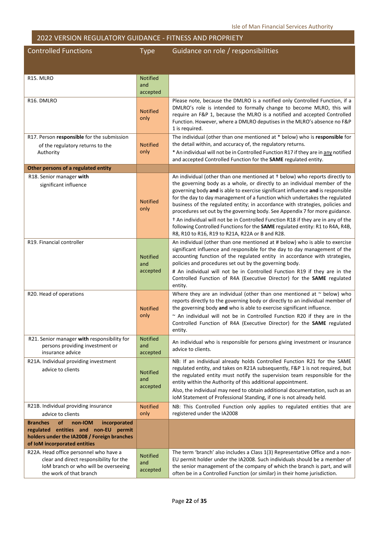Controlled Functions Type Guidance on role / responsibilities

| R <sub>15</sub> . MLRO                                                                                                                                                         | <b>Notified</b>                    |                                                                                                                                                                                                                                                                                                                                                                                                                                                                                                                                                                                                                                               |
|--------------------------------------------------------------------------------------------------------------------------------------------------------------------------------|------------------------------------|-----------------------------------------------------------------------------------------------------------------------------------------------------------------------------------------------------------------------------------------------------------------------------------------------------------------------------------------------------------------------------------------------------------------------------------------------------------------------------------------------------------------------------------------------------------------------------------------------------------------------------------------------|
|                                                                                                                                                                                | and<br>accepted                    |                                                                                                                                                                                                                                                                                                                                                                                                                                                                                                                                                                                                                                               |
| R16. DMLRO                                                                                                                                                                     |                                    | Please note, because the DMLRO is a notified only Controlled Function, if a                                                                                                                                                                                                                                                                                                                                                                                                                                                                                                                                                                   |
|                                                                                                                                                                                | <b>Notified</b><br>only            | DMLRO's role is intended to formally change to become MLRO, this will<br>require an F&P 1, because the MLRO is a notified and accepted Controlled<br>Function. However, where a DMLRO deputises in the MLRO's absence no F&P<br>1 is required.                                                                                                                                                                                                                                                                                                                                                                                                |
| R17. Person responsible for the submission<br>of the regulatory returns to the                                                                                                 | <b>Notified</b>                    | The individual (other than one mentioned at * below) who is responsible for<br>the detail within, and accuracy of, the regulatory returns.                                                                                                                                                                                                                                                                                                                                                                                                                                                                                                    |
| Authority                                                                                                                                                                      | only                               | * An individual will not be in Controlled Function R17 if they are in any notified<br>and accepted Controlled Function for the SAME regulated entity.                                                                                                                                                                                                                                                                                                                                                                                                                                                                                         |
| Other persons of a regulated entity                                                                                                                                            |                                    |                                                                                                                                                                                                                                                                                                                                                                                                                                                                                                                                                                                                                                               |
| R18. Senior manager with                                                                                                                                                       |                                    | An individual (other than one mentioned at + below) who reports directly to                                                                                                                                                                                                                                                                                                                                                                                                                                                                                                                                                                   |
| significant influence                                                                                                                                                          | <b>Notified</b><br>only            | the governing body as a whole, or directly to an individual member of the<br>governing body and is able to exercise significant influence and is responsible<br>for the day to day management of a function which undertakes the regulated<br>business of the regulated entity; in accordance with strategies, policies and<br>procedures set out by the governing body. See Appendix 7 for more guidance.<br><sup>†</sup> An individual will not be in Controlled Function R18 if they are in any of the<br>following Controlled Functions for the SAME regulated entity: R1 to R4A, R4B,<br>R8, R10 to R16, R19 to R21A, R22A or B and R28. |
| R19. Financial controller                                                                                                                                                      | <b>Notified</b><br>and<br>accepted | An individual (other than one mentioned at # below) who is able to exercise<br>significant influence and responsible for the day to day management of the<br>accounting function of the regulated entity in accordance with strategies,<br>policies and procedures set out by the governing body.<br># An individual will not be in Controlled Function R19 if they are in the<br>Controlled Function of R4A (Executive Director) for the SAME regulated<br>entity.                                                                                                                                                                           |
| R20. Head of operations                                                                                                                                                        | <b>Notified</b><br>only            | Where they are an individual (other than one mentioned at $\sim$ below) who<br>reports directly to the governing body or directly to an individual member of<br>the governing body and who is able to exercise significant influence.<br>~ An individual will not be in Controlled Function R20 if they are in the<br>Controlled Function of R4A (Executive Director) for the SAME regulated<br>entity.                                                                                                                                                                                                                                       |
| R21. Senior manager with responsibility for<br>persons providing investment or<br>insurance advice                                                                             | <b>Notified</b><br>and<br>accepted | An individual who is responsible for persons giving investment or insurance<br>advice to clients.                                                                                                                                                                                                                                                                                                                                                                                                                                                                                                                                             |
| R21A. Individual providing investment<br>advice to clients                                                                                                                     | <b>Notified</b><br>and<br>accepted | NB: If an individual already holds Controlled Function R21 for the SAME<br>regulated entity, and takes on R21A subsequently, F&P 1 is not required, but<br>the regulated entity must notify the supervision team responsible for the<br>entity within the Authority of this additional appointment.<br>Also, the individual may need to obtain additional documentation, such as an<br>IoM Statement of Professional Standing, if one is not already held.                                                                                                                                                                                    |
| R21B. Individual providing insurance<br>advice to clients                                                                                                                      | <b>Notified</b><br>only            | NB: This Controlled Function only applies to regulated entities that are<br>registered under the IA2008                                                                                                                                                                                                                                                                                                                                                                                                                                                                                                                                       |
| <b>of</b><br><b>Branches</b><br>non-IOM<br>incorporated<br>regulated entities and non-EU permit<br>holders under the IA2008 / Foreign branches<br>of IoM incorporated entities |                                    |                                                                                                                                                                                                                                                                                                                                                                                                                                                                                                                                                                                                                                               |
| R22A. Head office personnel who have a<br>clear and direct responsibility for the<br>IoM branch or who will be overseeing<br>the work of that branch                           | <b>Notified</b><br>and<br>accepted | The term 'branch' also includes a Class 1(3) Representative Office and a non-<br>EU permit holder under the IA2008. Such individuals should be a member of<br>the senior management of the company of which the branch is part, and will<br>often be in a Controlled Function (or similar) in their home jurisdiction.                                                                                                                                                                                                                                                                                                                        |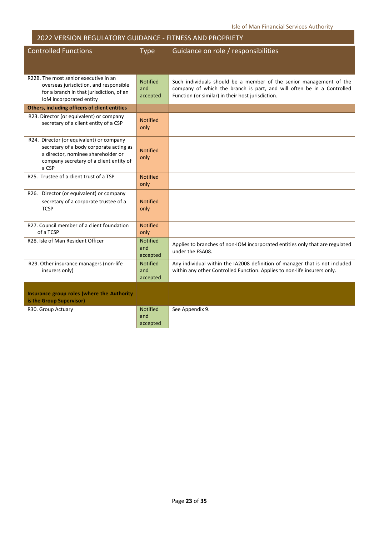| <b>Controlled Functions</b>                                                                                                                                                   | <b>Type</b>                        | Guidance on role / responsibilities                                                                                                                                                                |
|-------------------------------------------------------------------------------------------------------------------------------------------------------------------------------|------------------------------------|----------------------------------------------------------------------------------------------------------------------------------------------------------------------------------------------------|
|                                                                                                                                                                               |                                    |                                                                                                                                                                                                    |
|                                                                                                                                                                               |                                    |                                                                                                                                                                                                    |
| R22B. The most senior executive in an<br>overseas jurisdiction, and responsible<br>for a branch in that jurisdiction, of an<br>IoM incorporated entity                        | <b>Notified</b><br>and<br>accepted | Such individuals should be a member of the senior management of the<br>company of which the branch is part, and will often be in a Controlled<br>Function (or similar) in their host jurisdiction. |
| Others, including officers of client entities                                                                                                                                 |                                    |                                                                                                                                                                                                    |
| R23. Director (or equivalent) or company<br>secretary of a client entity of a CSP                                                                                             | <b>Notified</b><br>only            |                                                                                                                                                                                                    |
| R24. Director (or equivalent) or company<br>secretary of a body corporate acting as<br>a director, nominee shareholder or<br>company secretary of a client entity of<br>a CSP | <b>Notified</b><br>only            |                                                                                                                                                                                                    |
| R25. Trustee of a client trust of a TSP                                                                                                                                       | <b>Notified</b><br>only            |                                                                                                                                                                                                    |
| R26. Director (or equivalent) or company<br>secretary of a corporate trustee of a<br><b>TCSP</b>                                                                              | <b>Notified</b><br>only            |                                                                                                                                                                                                    |
| R27. Council member of a client foundation<br>of a TCSP                                                                                                                       | <b>Notified</b><br>only            |                                                                                                                                                                                                    |
| R28. Isle of Man Resident Officer                                                                                                                                             | <b>Notified</b><br>and<br>accepted | Applies to branches of non-IOM incorporated entities only that are regulated<br>under the FSA08.                                                                                                   |
| R29. Other insurance managers (non-life<br>insurers only)                                                                                                                     | <b>Notified</b><br>and<br>accepted | Any individual within the IA2008 definition of manager that is not included<br>within any other Controlled Function. Applies to non-life insurers only.                                            |
| Insurance group roles (where the Authority<br>is the Group Supervisor)                                                                                                        |                                    |                                                                                                                                                                                                    |
| R30. Group Actuary                                                                                                                                                            | <b>Notified</b><br>and<br>accepted | See Appendix 9.                                                                                                                                                                                    |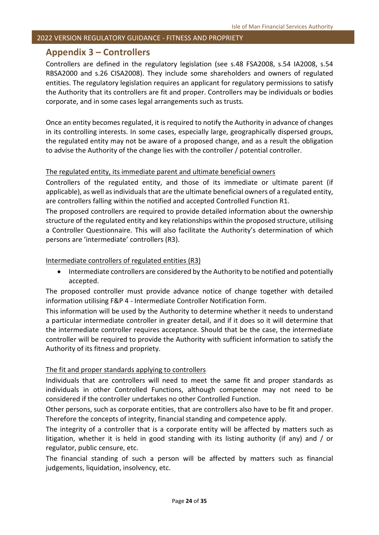#### <span id="page-23-0"></span>**Appendix 3 – Controllers**

Controllers are defined in the regulatory legislation (see s.48 FSA2008, s.54 IA2008, s.54 RBSA2000 and s.26 CISA2008). They include some shareholders and owners of regulated entities. The regulatory legislation requires an applicant for regulatory permissions to satisfy the Authority that its controllers are fit and proper. Controllers may be individuals or bodies corporate, and in some cases legal arrangements such as trusts.

Once an entity becomes regulated, it is required to notify the Authority in advance of changes in its controlling interests. In some cases, especially large, geographically dispersed groups, the regulated entity may not be aware of a proposed change, and as a result the obligation to advise the Authority of the change lies with the controller / potential controller.

#### The regulated entity, its immediate parent and ultimate beneficial owners

Controllers of the regulated entity, and those of its immediate or ultimate parent (if applicable), as well as individuals that are the ultimate beneficial owners of a regulated entity, are controllers falling within the notified and accepted Controlled Function R1.

The proposed controllers are required to provide detailed information about the ownership structure of the regulated entity and key relationships within the proposed structure, utilising a Controller Questionnaire. This will also facilitate the Authority's determination of which persons are 'intermediate' controllers (R3).

#### Intermediate controllers of regulated entities (R3)

• Intermediate controllers are considered by the Authority to be notified and potentially accepted.

The proposed controller must provide advance notice of change together with detailed information utilising F&P 4 - Intermediate Controller Notification Form.

This information will be used by the Authority to determine whether it needs to understand a particular intermediate controller in greater detail, and if it does so it will determine that the intermediate controller requires acceptance. Should that be the case, the intermediate controller will be required to provide the Authority with sufficient information to satisfy the Authority of its fitness and propriety.

#### The fit and proper standards applying to controllers

Individuals that are controllers will need to meet the same fit and proper standards as individuals in other Controlled Functions, although competence may not need to be considered if the controller undertakes no other Controlled Function.

Other persons, such as corporate entities, that are controllers also have to be fit and proper. Therefore the concepts of integrity, financial standing and competence apply.

The integrity of a controller that is a corporate entity will be affected by matters such as litigation, whether it is held in good standing with its listing authority (if any) and / or regulator, public censure, etc.

The financial standing of such a person will be affected by matters such as financial iudgements, liquidation, insolvency, etc.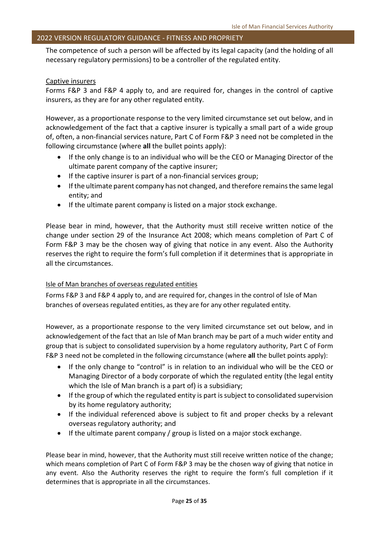The competence of such a person will be affected by its legal capacity (and the holding of all necessary regulatory permissions) to be a controller of the regulated entity.

#### Captive insurers

Forms F&P 3 and F&P 4 apply to, and are required for, changes in the control of captive insurers, as they are for any other regulated entity.

However, as a proportionate response to the very limited circumstance set out below, and in acknowledgement of the fact that a captive insurer is typically a small part of a wide group of, often, a non-financial services nature, Part C of Form F&P 3 need not be completed in the following circumstance (where **all** the bullet points apply):

- If the only change is to an individual who will be the CEO or Managing Director of the ultimate parent company of the captive insurer;
- If the captive insurer is part of a non-financial services group;
- If the ultimate parent company has not changed, and therefore remains the same legal entity; and
- If the ultimate parent company is listed on a major stock exchange.

Please bear in mind, however, that the Authority must still receive written notice of the change under section 29 of the Insurance Act 2008; which means completion of Part C of Form F&P 3 may be the chosen way of giving that notice in any event. Also the Authority reserves the right to require the form's full completion if it determines that is appropriate in all the circumstances.

#### Isle of Man branches of overseas regulated entities

Forms F&P 3 and F&P 4 apply to, and are required for, changes in the control of Isle of Man branches of overseas regulated entities, as they are for any other regulated entity.

However, as a proportionate response to the very limited circumstance set out below, and in acknowledgement of the fact that an Isle of Man branch may be part of a much wider entity and group that is subject to consolidated supervision by a home regulatory authority, Part C of Form F&P 3 need not be completed in the following circumstance (where **all** the bullet points apply):

- If the only change to "control" is in relation to an individual who will be the CEO or Managing Director of a body corporate of which the regulated entity (the legal entity which the Isle of Man branch is a part of) is a subsidiary;
- If the group of which the regulated entity is part is subject to consolidated supervision by its home regulatory authority;
- If the individual referenced above is subject to fit and proper checks by a relevant overseas regulatory authority; and
- If the ultimate parent company / group is listed on a major stock exchange.

Please bear in mind, however, that the Authority must still receive written notice of the change; which means completion of Part C of Form F&P 3 may be the chosen way of giving that notice in any event. Also the Authority reserves the right to require the form's full completion if it determines that is appropriate in all the circumstances.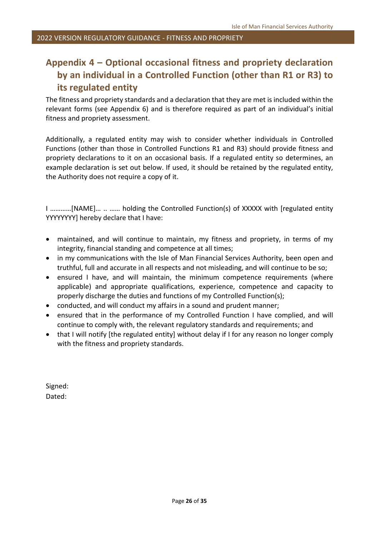### <span id="page-25-0"></span>**Appendix 4 – Optional occasional fitness and propriety declaration by an individual in a Controlled Function (other than R1 or R3) to its regulated entity**

The fitness and propriety standards and a declaration that they are met is included within the relevant forms (see Appendix 6) and is therefore required as part of an individual's initial fitness and propriety assessment.

Additionally, a regulated entity may wish to consider whether individuals in Controlled Functions (other than those in Controlled Functions R1 and R3) should provide fitness and propriety declarations to it on an occasional basis. If a regulated entity so determines, an example declaration is set out below. If used, it should be retained by the regulated entity, the Authority does not require a copy of it.

I …………[NAME]… .. …… holding the Controlled Function(s) of XXXXX with [regulated entity YYYYYYYY] hereby declare that I have:

- maintained, and will continue to maintain, my fitness and propriety, in terms of my integrity, financial standing and competence at all times;
- in my communications with the Isle of Man Financial Services Authority, been open and truthful, full and accurate in all respects and not misleading, and will continue to be so;
- ensured I have, and will maintain, the minimum competence requirements (where applicable) and appropriate qualifications, experience, competence and capacity to properly discharge the duties and functions of my Controlled Function(s);
- conducted, and will conduct my affairs in a sound and prudent manner;
- ensured that in the performance of my Controlled Function I have complied, and will continue to comply with, the relevant regulatory standards and requirements; and
- that I will notify [the regulated entity] without delay if I for any reason no longer comply with the fitness and propriety standards.

Signed: Dated: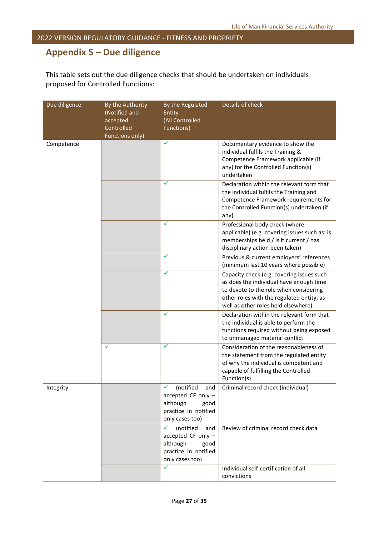### <span id="page-26-0"></span>**Appendix 5 – Due diligence**

This table sets out the due diligence checks that should be undertaken on individuals proposed for Controlled Functions:

| Due diligence | By the Authority<br>(Notified and<br>accepted<br>Controlled<br>Functions only) | By the Regulated<br>Entity<br>(All Controlled<br>Functions)                                                | Details of check                                                                                                                                                                                                   |
|---------------|--------------------------------------------------------------------------------|------------------------------------------------------------------------------------------------------------|--------------------------------------------------------------------------------------------------------------------------------------------------------------------------------------------------------------------|
| Competence    |                                                                                | ✓                                                                                                          | Documentary evidence to show the<br>individual fulfils the Training &<br>Competence Framework applicable (if<br>any) for the Controlled Function(s)<br>undertaken                                                  |
|               |                                                                                | ✓                                                                                                          | Declaration within the relevant form that<br>the individual fulfils the Training and<br>Competence Framework requirements for<br>the Controlled Function(s) undertaken (if<br>any)                                 |
|               |                                                                                | ✓                                                                                                          | Professional body check (where<br>applicable) (e.g. covering issues such as: is<br>memberships held / is it current / has<br>disciplinary action been taken)                                                       |
|               |                                                                                | ✓                                                                                                          | Previous & current employers' references<br>(minimum last 10 years where possible)                                                                                                                                 |
|               |                                                                                | ✓                                                                                                          | Capacity check (e.g. covering issues such<br>as does the individual have enough time<br>to devote to the role when considering<br>other roles with the regulated entity, as<br>well as other roles held elsewhere) |
|               |                                                                                | ✓                                                                                                          | Declaration within the relevant form that<br>the individual is able to perform the<br>functions required without being exposed<br>to unmanaged material conflict                                                   |
|               | ✓                                                                              | ✓                                                                                                          | Consideration of the reasonableness of<br>the statement from the regulated entity<br>of why the individual is competent and<br>capable of fulfilling the Controlled<br>Function(s)                                 |
| Integrity     |                                                                                | (notified<br>and<br>accepted CF only $-$<br>although<br>good<br>practice in notified<br>only cases too)    | Criminal record check (individual)                                                                                                                                                                                 |
|               |                                                                                | (notified<br>✓<br>and<br>accepted CF only -<br>although<br>good<br>practice in notified<br>only cases too) | Review of criminal record check data                                                                                                                                                                               |
|               |                                                                                | ✓                                                                                                          | Individual self-certification of all<br>convictions                                                                                                                                                                |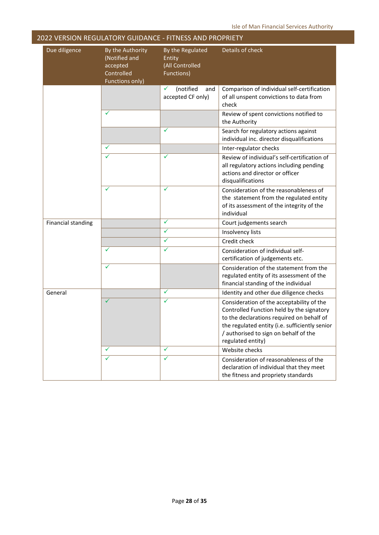| Due diligence             | By the Authority<br>(Notified and<br>accepted<br>Controlled<br><b>Functions only)</b> | By the Regulated<br>Entity<br>(All Controlled<br>Functions) | Details of check                                                                                                                                                                                                                                    |
|---------------------------|---------------------------------------------------------------------------------------|-------------------------------------------------------------|-----------------------------------------------------------------------------------------------------------------------------------------------------------------------------------------------------------------------------------------------------|
|                           |                                                                                       | (notified<br>✓<br>and<br>accepted CF only)                  | Comparison of individual self-certification<br>of all unspent convictions to data from<br>check                                                                                                                                                     |
|                           | ✓                                                                                     |                                                             | Review of spent convictions notified to<br>the Authority                                                                                                                                                                                            |
|                           |                                                                                       | ✓                                                           | Search for regulatory actions against<br>individual inc. director disqualifications                                                                                                                                                                 |
|                           | ✓                                                                                     |                                                             | Inter-regulator checks                                                                                                                                                                                                                              |
|                           | ✓                                                                                     | ✓                                                           | Review of individual's self-certification of<br>all regulatory actions including pending<br>actions and director or officer<br>disqualifications                                                                                                    |
|                           | ✓                                                                                     | ✓                                                           | Consideration of the reasonableness of<br>the statement from the regulated entity<br>of its assessment of the integrity of the<br>individual                                                                                                        |
| <b>Financial standing</b> |                                                                                       | ✓                                                           | Court judgements search                                                                                                                                                                                                                             |
|                           |                                                                                       | ✓                                                           | Insolvency lists                                                                                                                                                                                                                                    |
|                           |                                                                                       | ✓                                                           | Credit check                                                                                                                                                                                                                                        |
|                           | ✓                                                                                     | ✓                                                           | Consideration of individual self-<br>certification of judgements etc.                                                                                                                                                                               |
|                           | ✓                                                                                     |                                                             | Consideration of the statement from the<br>regulated entity of its assessment of the<br>financial standing of the individual                                                                                                                        |
| General                   |                                                                                       | ✓                                                           | Identity and other due diligence checks                                                                                                                                                                                                             |
|                           | $\checkmark$                                                                          | ✓                                                           | Consideration of the acceptability of the<br>Controlled Function held by the signatory<br>to the declarations required on behalf of<br>the regulated entity (i.e. sufficiently senior<br>/ authorised to sign on behalf of the<br>regulated entity) |
|                           | ✓                                                                                     | ✓                                                           | Website checks                                                                                                                                                                                                                                      |
|                           | ✓                                                                                     | ✓                                                           | Consideration of reasonableness of the<br>declaration of individual that they meet<br>the fitness and propriety standards                                                                                                                           |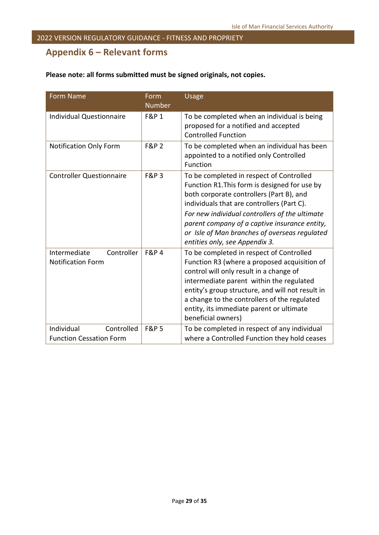### <span id="page-28-0"></span>**Appendix 6 – Relevant forms**

| <b>Form Name</b>                                           | Form<br><b>Number</b> | Usage                                                                                                                                                                                                                                                                                                                                                                     |
|------------------------------------------------------------|-----------------------|---------------------------------------------------------------------------------------------------------------------------------------------------------------------------------------------------------------------------------------------------------------------------------------------------------------------------------------------------------------------------|
| <b>Individual Questionnaire</b>                            | <b>F&amp;P 1</b>      | To be completed when an individual is being<br>proposed for a notified and accepted<br><b>Controlled Function</b>                                                                                                                                                                                                                                                         |
| <b>Notification Only Form</b>                              | <b>F&amp;P 2</b>      | To be completed when an individual has been<br>appointed to a notified only Controlled<br>Function                                                                                                                                                                                                                                                                        |
| <b>Controller Questionnaire</b>                            | <b>F&amp;P3</b>       | To be completed in respect of Controlled<br>Function R1. This form is designed for use by<br>both corporate controllers (Part B), and<br>individuals that are controllers (Part C).<br>For new individual controllers of the ultimate<br>parent company of a captive insurance entity,<br>or Isle of Man branches of overseas regulated<br>entities only, see Appendix 3. |
| Intermediate<br>Controller<br><b>Notification Form</b>     | <b>F&amp;P4</b>       | To be completed in respect of Controlled<br>Function R3 (where a proposed acquisition of<br>control will only result in a change of<br>intermediate parent within the regulated<br>entity's group structure, and will not result in<br>a change to the controllers of the regulated<br>entity, its immediate parent or ultimate<br>beneficial owners)                     |
| Individual<br>Controlled<br><b>Function Cessation Form</b> | <b>F&amp;P 5</b>      | To be completed in respect of any individual<br>where a Controlled Function they hold ceases                                                                                                                                                                                                                                                                              |

### **Please note: all forms submitted must be signed originals, not copies.**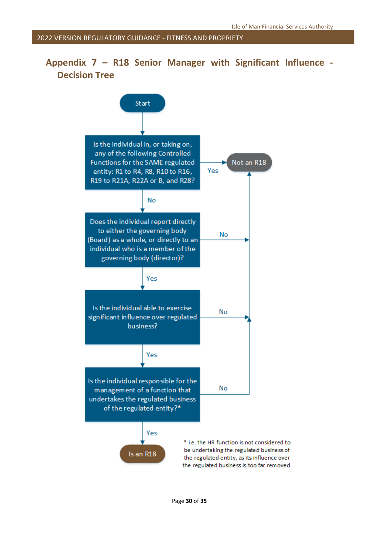### <span id="page-29-0"></span>**Appendix 7 – R18 Senior Manager with Significant Influence - Decision Tree**

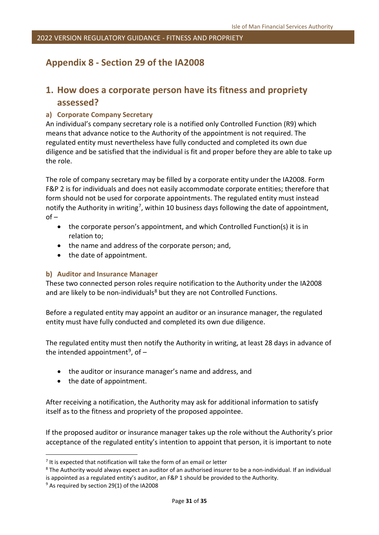### <span id="page-30-0"></span>**Appendix 8 - Section 29 of the IA2008**

### **1. How does a corporate person have its fitness and propriety assessed?**

#### **a) Corporate Company Secretary**

An individual's company secretary role is a notified only Controlled Function (R9) which means that advance notice to the Authority of the appointment is not required. The regulated entity must nevertheless have fully conducted and completed its own due diligence and be satisfied that the individual is fit and proper before they are able to take up the role.

The role of company secretary may be filled by a corporate entity under the IA2008. Form F&P 2 is for individuals and does not easily accommodate corporate entities; therefore that form should not be used for corporate appointments. The regulated entity must instead notify the Authority in writing<sup>7</sup>, within 10 business days following the date of appointment, of –

- the corporate person's appointment, and which Controlled Function(s) it is in relation to;
- the name and address of the corporate person; and,
- the date of appointment.

#### **b) Auditor and Insurance Manager**

These two connected person roles require notification to the Authority under the IA2008 and are likely to be non-individuals<sup>[8](#page-30-2)</sup> but they are not Controlled Functions.

Before a regulated entity may appoint an auditor or an insurance manager, the regulated entity must have fully conducted and completed its own due diligence.

The regulated entity must then notify the Authority in writing, at least 28 days in advance of the intended appointment<sup>9</sup>, of  $-$ 

- the auditor or insurance manager's name and address, and
- the date of appointment.

After receiving a notification, the Authority may ask for additional information to satisfy itself as to the fitness and propriety of the proposed appointee.

If the proposed auditor or insurance manager takes up the role without the Authority's prior acceptance of the regulated entity's intention to appoint that person, it is important to note

<span id="page-30-1"></span> $<sup>7</sup>$  It is expected that notification will take the form of an email or letter</sup>

<span id="page-30-2"></span><sup>&</sup>lt;sup>8</sup> The Authority would always expect an auditor of an authorised insurer to be a non-individual. If an individual is appointed as a regulated entity's auditor, an F&P 1 should be provided to the Authority.<br><sup>9</sup> As required by section 29(1) of the IA2008

<span id="page-30-3"></span>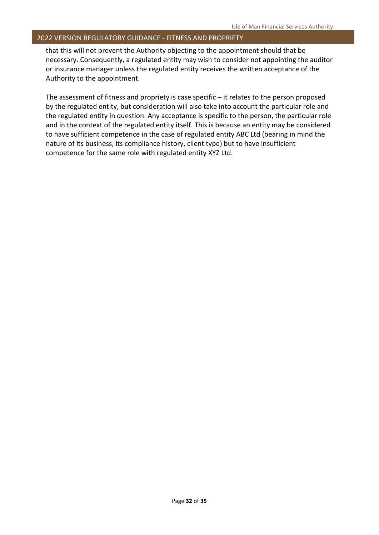that this will not prevent the Authority objecting to the appointment should that be necessary. Consequently, a regulated entity may wish to consider not appointing the auditor or insurance manager unless the regulated entity receives the written acceptance of the Authority to the appointment.

The assessment of fitness and propriety is case specific – it relates to the person proposed by the regulated entity, but consideration will also take into account the particular role and the regulated entity in question. Any acceptance is specific to the person, the particular role and in the context of the regulated entity itself. This is because an entity may be considered to have sufficient competence in the case of regulated entity ABC Ltd (bearing in mind the nature of its business, its compliance history, client type) but to have insufficient competence for the same role with regulated entity XYZ Ltd.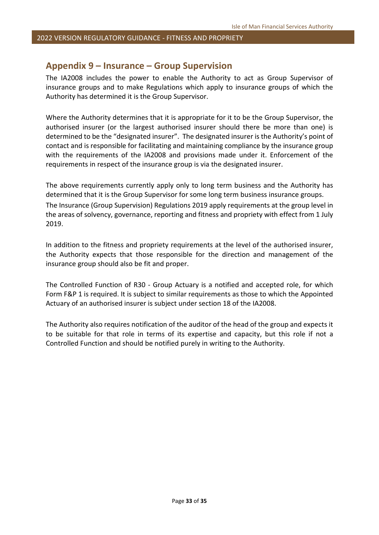#### <span id="page-32-0"></span>**Appendix 9 – Insurance – Group Supervision**

The IA2008 includes the power to enable the Authority to act as Group Supervisor of insurance groups and to make Regulations which apply to insurance groups of which the Authority has determined it is the Group Supervisor.

Where the Authority determines that it is appropriate for it to be the Group Supervisor, the authorised insurer (or the largest authorised insurer should there be more than one) is determined to be the "designated insurer". The designated insurer is the Authority's point of contact and is responsible for facilitating and maintaining compliance by the insurance group with the requirements of the IA2008 and provisions made under it. Enforcement of the requirements in respect of the insurance group is via the designated insurer.

The above requirements currently apply only to long term business and the Authority has determined that it is the Group Supervisor for some long term business insurance groups. The Insurance (Group Supervision) Regulations 2019 apply requirements at the group level in the areas of solvency, governance, reporting and fitness and propriety with effect from 1 July 2019.

In addition to the fitness and propriety requirements at the level of the authorised insurer, the Authority expects that those responsible for the direction and management of the insurance group should also be fit and proper.

The Controlled Function of R30 - Group Actuary is a notified and accepted role, for which Form F&P 1 is required. It is subject to similar requirements as those to which the Appointed Actuary of an authorised insurer is subject under section 18 of the IA2008.

The Authority also requires notification of the auditor of the head of the group and expects it to be suitable for that role in terms of its expertise and capacity, but this role if not a Controlled Function and should be notified purely in writing to the Authority.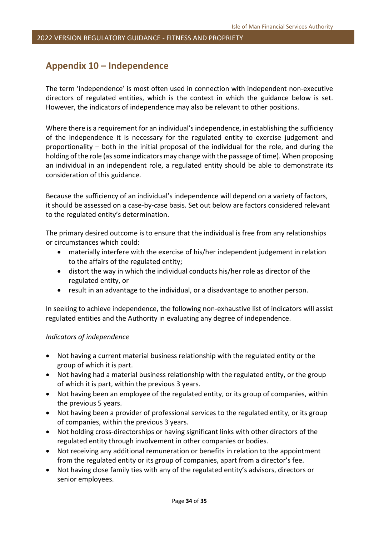### <span id="page-33-0"></span>**Appendix 10 – Independence**

The term 'independence' is most often used in connection with independent non-executive directors of regulated entities, which is the context in which the guidance below is set. However, the indicators of independence may also be relevant to other positions.

Where there is a requirement for an individual's independence, in establishing the sufficiency of the independence it is necessary for the regulated entity to exercise judgement and proportionality – both in the initial proposal of the individual for the role, and during the holding of the role (as some indicators may change with the passage of time). When proposing an individual in an independent role, a regulated entity should be able to demonstrate its consideration of this guidance.

Because the sufficiency of an individual's independence will depend on a variety of factors, it should be assessed on a case-by-case basis. Set out below are factors considered relevant to the regulated entity's determination.

The primary desired outcome is to ensure that the individual is free from any relationships or circumstances which could:

- materially interfere with the exercise of his/her independent judgement in relation to the affairs of the regulated entity;
- distort the way in which the individual conducts his/her role as director of the regulated entity, or
- result in an advantage to the individual, or a disadvantage to another person.

In seeking to achieve independence, the following non-exhaustive list of indicators will assist regulated entities and the Authority in evaluating any degree of independence.

#### *Indicators of independence*

- Not having a current material business relationship with the regulated entity or the group of which it is part.
- Not having had a material business relationship with the regulated entity, or the group of which it is part, within the previous 3 years.
- Not having been an employee of the regulated entity, or its group of companies, within the previous 5 years.
- Not having been a provider of professional services to the regulated entity, or its group of companies, within the previous 3 years.
- Not holding cross-directorships or having significant links with other directors of the regulated entity through involvement in other companies or bodies.
- Not receiving any additional remuneration or benefits in relation to the appointment from the regulated entity or its group of companies, apart from a director's fee.
- Not having close family ties with any of the regulated entity's advisors, directors or senior employees.